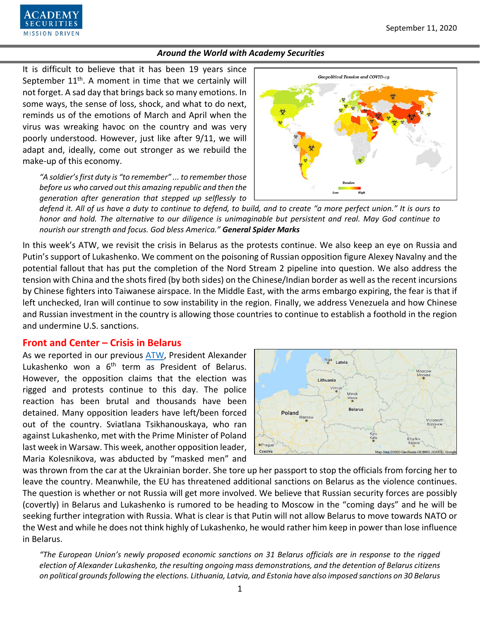

It is difficult to believe that it has been 19 years since September  $11<sup>th</sup>$ . A moment in time that we certainly will not forget. A sad day that brings back so many emotions. In some ways, the sense of loss, shock, and what to do next, reminds us of the emotions of March and April when the virus was wreaking havoc on the country and was very poorly understood. However, just like after 9/11, we will adapt and, ideally, come out stronger as we rebuild the make-up of this economy.

*"A soldier's first duty is "to remember" ... to remember those before us who carved out this amazing republic and then the generation after generation that stepped up selflessly to* 



*defend it. All of us have a duty to continue to defend, to build, and to create "a more perfect union." It is ours to honor and hold. The alternative to our diligence is unimaginable but persistent and real. May God continue to nourish our strength and focus. God bless America." General Spider Marks*

In this week's ATW, we revisit the crisis in Belarus as the protests continue. We also keep an eye on Russia and Putin's support of Lukashenko. We comment on the poisoning of Russian opposition figure Alexey Navalny and the potential fallout that has put the completion of the Nord Stream 2 pipeline into question. We also address the tension with China and the shots fired (by both sides) on the Chinese/Indian border as well as the recent incursions by Chinese fighters into Taiwanese airspace. In the Middle East, with the arms embargo expiring, the fear is that if left unchecked, Iran will continue to sow instability in the region. Finally, we address Venezuela and how Chinese and Russian investment in the country is allowing those countries to continue to establish a foothold in the region and undermine U.S. sanctions.

## **Front and Center – Crisis in Belarus**

As we reported in our previous [ATW,](https://www.academysecurities.com/wordpress/wp-content/uploads/2020/08/Around-the-World-with-Academy-Securities_8-28-20.pdf) President Alexander Lukashenko won a 6<sup>th</sup> term as President of Belarus. However, the opposition claims that the election was rigged and protests continue to this day. The police reaction has been brutal and thousands have been detained. Many opposition leaders have left/been forced out of the country. Sviatlana Tsikhanouskaya, who ran against Lukashenko, met with the Prime Minister of Poland last week in Warsaw. This week, another opposition leader, Maria Kolesnikova, was abducted by "masked men" and



was thrown from the car at the Ukrainian border. She tore up her passport to stop the officials from forcing her to leave the country. Meanwhile, the EU has threatened additional sanctions on Belarus as the violence continues. The question is whether or not Russia will get more involved. We believe that Russian security forces are possibly (covertly) in Belarus and Lukashenko is rumored to be heading to Moscow in the "coming days" and he will be seeking further integration with Russia. What is clear is that Putin will not allow Belarus to move towards NATO or the West and while he does not think highly of Lukashenko, he would rather him keep in power than lose influence in Belarus.

*"The European Union's newly proposed economic sanctions on 31 Belarus officials are in response to the rigged election of Alexander Lukashenko, the resulting ongoing mass demonstrations, and the detention of Belarus citizens on political grounds following the elections. Lithuania, Latvia, and Estonia have also imposed sanctions on 30 Belarus*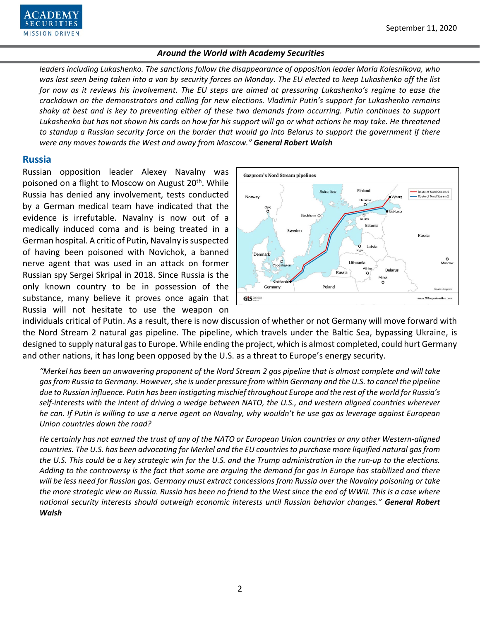

*leaders including Lukashenko. The sanctions follow the disappearance of opposition leader Maria Kolesnikova, who was last seen being taken into a van by security forces on Monday. The EU elected to keep Lukashenko off the list for now as it reviews his involvement. The EU steps are aimed at pressuring Lukashenko's regime to ease the crackdown on the demonstrators and calling for new elections. Vladimir Putin's support for Lukashenko remains shaky at best and is key to preventing either of these two demands from occurring. Putin continues to support Lukashenko but has not shown his cards on how far his support will go or what actions he may take. He threatened to standup a Russian security force on the border that would go into Belarus to support the government if there were any moves towards the West and away from Moscow." General Robert Walsh*

## **Russia**

Russian opposition leader Alexey Navalny was poisoned on a flight to Moscow on August 20<sup>th</sup>. While Russia has denied any involvement, tests conducted by a German medical team have indicated that the evidence is irrefutable. Navalny is now out of a medically induced coma and is being treated in a German hospital. A critic of Putin, Navalny is suspected of having been poisoned with Novichok, a banned nerve agent that was used in an attack on former Russian spy Sergei Skripal in 2018. Since Russia is the only known country to be in possession of the substance, many believe it proves once again that Russia will not hesitate to use the weapon on



individuals critical of Putin. As a result, there is now discussion of whether or not Germany will move forward with the Nord Stream 2 natural gas pipeline. The pipeline, which travels under the Baltic Sea, bypassing Ukraine, is designed to supply natural gas to Europe. While ending the project, which is almost completed, could hurt Germany and other nations, it has long been opposed by the U.S. as a threat to Europe's energy security.

*"Merkel has been an unwavering proponent of the Nord Stream 2 gas pipeline that is almost complete and will take gas from Russia to Germany. However, she is under pressure from within Germany and the U.S. to cancel the pipeline due to Russian influence. Putin has been instigating mischief throughout Europe and the rest of the world for Russia's self-interests with the intent of driving a wedge between NATO, the U.S., and western aligned countries wherever he can. If Putin is willing to use a nerve agent on Navalny, why wouldn't he use gas as leverage against European Union countries down the road?* 

*He certainly has not earned the trust of any of the NATO or European Union countries or any other Western-aligned countries. The U.S. has been advocating for Merkel and the EU countries to purchase more liquified natural gas from the U.S. This could be a key strategic win for the U.S. and the Trump administration in the run-up to the elections. Adding to the controversy is the fact that some are arguing the demand for gas in Europe has stabilized and there will be less need for Russian gas. Germany must extract concessions from Russia over the Navalny poisoning or take the more strategic view on Russia. Russia has been no friend to the West since the end of WWII. This is a case where national security interests should outweigh economic interests until Russian behavior changes." General Robert Walsh*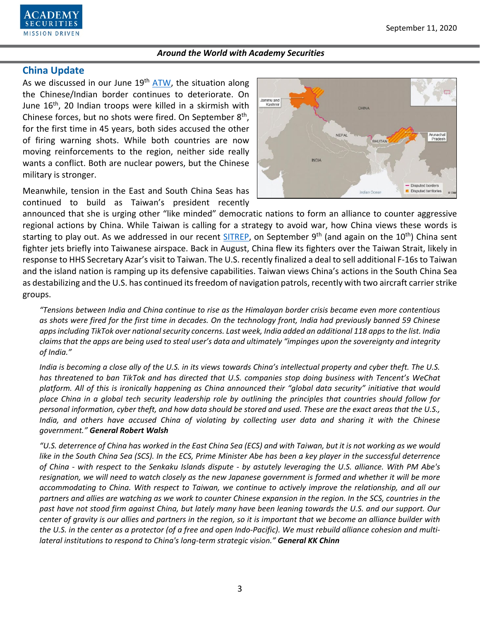

## **China Update**

As we discussed in our June  $19<sup>th</sup>$  [ATW,](https://www.academysecurities.com/wordpress/wp-content/uploads/2020/06/Around-the-World-with-Academy-Securities_6-19-20-1.pdf) the situation along the Chinese/Indian border continues to deteriorate. On June 16<sup>th</sup>, 20 Indian troops were killed in a skirmish with Chinese forces, but no shots were fired. On September  $8<sup>th</sup>$ , for the first time in 45 years, both sides accused the other of firing warning shots. While both countries are now moving reinforcements to the region, neither side really wants a conflict. Both are nuclear powers, but the Chinese military is stronger.

Meanwhile, tension in the East and South China Seas has continued to build as Taiwan's president recently



announced that she is urging other "like minded" democratic nations to form an alliance to counter aggressive regional actions by China. While Taiwan is calling for a strategy to avoid war, how China views these words is starting to play out. As we addressed in our recent [SITREP,](https://www.academysecurities.com/is-taiwan-at-risk/) on September 9<sup>th</sup> (and again on the 10<sup>th</sup>) China sent fighter jets briefly into Taiwanese airspace. Back in August, China flew its fighters over the Taiwan Strait, likely in response to HHS Secretary Azar's visit to Taiwan. The U.S. recently finalized a deal to sell additional F-16s to Taiwan and the island nation is ramping up its defensive capabilities. Taiwan views China's actions in the South China Sea as destabilizing and the U.S. has continued its freedom of navigation patrols, recently with two aircraft carrier strike groups.

*"Tensions between India and China continue to rise as the Himalayan border crisis became even more contentious as shots were fired for the first time in decades. On the technology front, India had previously banned 59 Chinese apps including TikTok over national security concerns. Last week, India added an additional 118 apps to the list. India claims that the apps are being used to steal user's data and ultimately "impinges upon the sovereignty and integrity of India."*

*India is becoming a close ally of the U.S. in its views towards China's intellectual property and cyber theft. The U.S. has threatened to ban TikTok and has directed that U.S. companies stop doing business with Tencent's WeChat platform. All of this is ironically happening as China announced their "global data security" initiative that would place China in a global tech security leadership role by outlining the principles that countries should follow for personal information, cyber theft, and how data should be stored and used. These are the exact areas that the U.S., India, and others have accused China of violating by collecting user data and sharing it with the Chinese government." General Robert Walsh*

*"U.S. deterrence of China has worked in the East China Sea (ECS) and with Taiwan, but it is not working as we would like in the South China Sea (SCS). In the ECS, Prime Minister Abe has been a key player in the successful deterrence of China - with respect to the Senkaku Islands dispute - by astutely leveraging the U.S. alliance. With PM Abe's resignation, we will need to watch closely as the new Japanese government is formed and whether it will be more accommodating to China. With respect to Taiwan, we continue to actively improve the relationship, and all our partners and allies are watching as we work to counter Chinese expansion in the region. In the SCS, countries in the past have not stood firm against China, but lately many have been leaning towards the U.S. and our support. Our center of gravity is our allies and partners in the region, so it is important that we become an alliance builder with the U.S. in the center as a protector (of a free and open Indo-Pacific). We must rebuild alliance cohesion and multilateral institutions to respond to China's long-term strategic vision." General KK Chinn*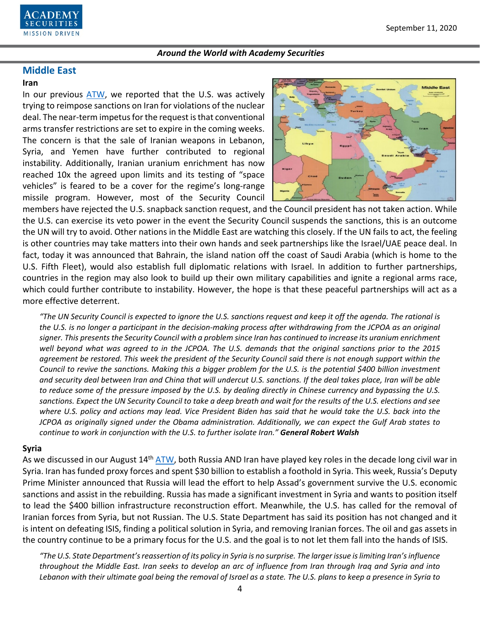

# **Middle East**

### **Iran**

In our previous [ATW,](https://www.academysecurities.com/wordpress/wp-content/uploads/2020/08/Around-the-World-with-Academy-Securities_8-28-20.pdf) we reported that the U.S. was actively trying to reimpose sanctions on Iran for violations of the nuclear deal. The near-term impetus for the request is that conventional arms transfer restrictions are set to expire in the coming weeks. The concern is that the sale of Iranian weapons in Lebanon, Syria, and Yemen have further contributed to regional instability. Additionally, Iranian uranium enrichment has now reached 10x the agreed upon limits and its testing of "space vehicles" is feared to be a cover for the regime's long-range missile program. However, most of the Security Council



members have rejected the U.S. snapback sanction request, and the Council president has not taken action. While the U.S. can exercise its veto power in the event the Security Council suspends the sanctions, this is an outcome the UN will try to avoid. Other nations in the Middle East are watching this closely. If the UN fails to act, the feeling is other countries may take matters into their own hands and seek partnerships like the Israel/UAE peace deal. In fact, today it was announced that Bahrain, the island nation off the coast of Saudi Arabia (which is home to the U.S. Fifth Fleet), would also establish full diplomatic relations with Israel. In addition to further partnerships, countries in the region may also look to build up their own military capabilities and ignite a regional arms race, which could further contribute to instability. However, the hope is that these peaceful partnerships will act as a more effective deterrent.

*"The UN Security Council is expected to ignore the U.S. sanctions request and keep it off the agenda. The rational is the U.S. is no longer a participant in the decision-making process after withdrawing from the JCPOA as an original signer. This presents the Security Council with a problem since Iran has continued to increase its uranium enrichment well beyond what was agreed to in the JCPOA. The U.S. demands that the original sanctions prior to the 2015 agreement be restored. This week the president of the Security Council said there is not enough support within the Council to revive the sanctions. Making this a bigger problem for the U.S. is the potential \$400 billion investment and security deal between Iran and China that will undercut U.S. sanctions. If the deal takes place, Iran will be able to reduce some of the pressure imposed by the U.S. by dealing directly in Chinese currency and bypassing the U.S. sanctions. Expect the UN Security Council to take a deep breath and wait for the results of the U.S. elections and see*  where U.S. policy and actions may lead. Vice President Biden has said that he would take the U.S. back into the *JCPOA as originally signed under the Obama administration. Additionally, we can expect the Gulf Arab states to continue to work in conjunction with the U.S. to further isolate Iran." General Robert Walsh*

### **Syria**

As we discussed in our August 14<sup>th</sup> [ATW,](https://www.academysecurities.com/wordpress/wp-content/uploads/2020/08/Around-the-World-with-Academy-Securities_8-14-20.pdf) both Russia AND Iran have played key roles in the decade long civil war in Syria. Iran has funded proxy forces and spent \$30 billion to establish a foothold in Syria. This week, Russia's Deputy Prime Minister announced that Russia will lead the effort to help Assad's government survive the U.S. economic sanctions and assist in the rebuilding. Russia has made a significant investment in Syria and wants to position itself to lead the \$400 billion infrastructure reconstruction effort. Meanwhile, the U.S. has called for the removal of Iranian forces from Syria, but not Russian. The U.S. State Department has said its position has not changed and it is intent on defeating ISIS, finding a political solution in Syria, and removing Iranian forces. The oil and gas assets in the country continue to be a primary focus for the U.S. and the goal is to not let them fall into the hands of ISIS.

*"The U.S. State Department's reassertion of its policy in Syria is no surprise. The larger issue is limiting Iran's influence throughout the Middle East. Iran seeks to develop an arc of influence from Iran through Iraq and Syria and into Lebanon with their ultimate goal being the removal of Israel as a state. The U.S. plans to keep a presence in Syria to*